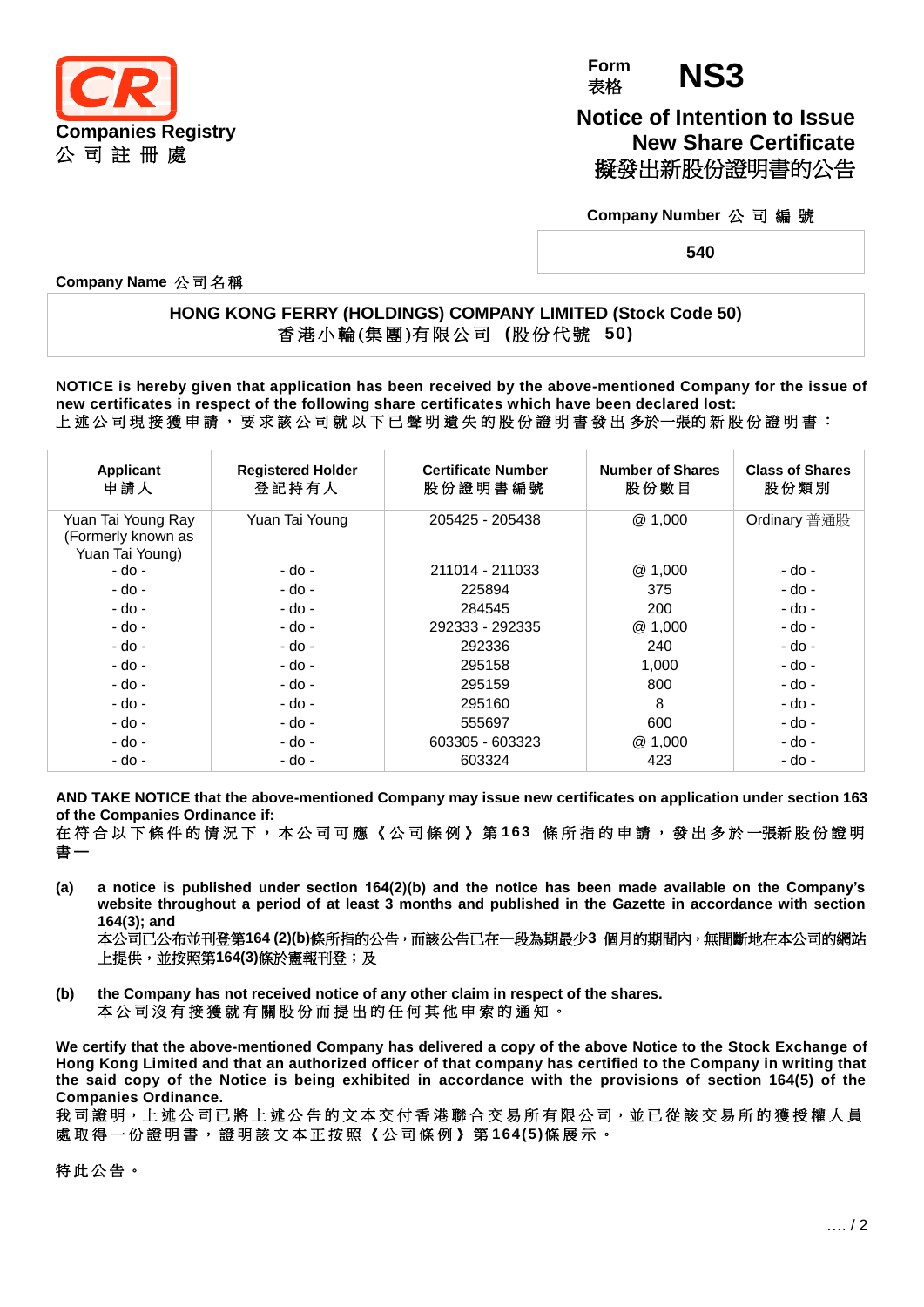

**Form** 表格 **NS3**

**Notice of Intention to Issue New Share Certificate** 擬發出新股份證明書的公告

**Company Number** 公 司 編 號

**540**

**Company Name** 公司名稱

## **HONG KONG FERRY (HOLDINGS) COMPANY LIMITED (Stock Code 50)** 香 港 小 輪 (集 團 )有 限 公 司 **(**股 份 代 號 **50)**

**NOTICE is hereby given that application has been received by the above-mentioned Company for the issue of new certificates in respect of the following share certificates which have been declared lost:** 上 述 公 司 現 接 獲 申 請 , 要 求 該 公 司 就 以 下 已 聲 明 遺 失 的 股 份 證 明 書 發 出 多於一張的 新 股 份 證 明 書 :

| Applicant<br>申請人                                            | <b>Registered Holder</b><br>登記持有人 | <b>Certificate Number</b><br>股份證明書編號 | <b>Number of Shares</b><br>股份數目 | <b>Class of Shares</b><br>股份類別 |
|-------------------------------------------------------------|-----------------------------------|--------------------------------------|---------------------------------|--------------------------------|
| Yuan Tai Young Ray<br>(Formerly known as<br>Yuan Tai Young) | Yuan Tai Young                    | 205425 - 205438                      | @1,000                          | Ordinary 普通股                   |
| - do -                                                      | - do -                            | 211014 - 211033                      | @1,000                          | - do -                         |
| - do -                                                      | - do -                            | 225894                               | 375                             | - do -                         |
| - do -                                                      | - do -                            | 284545                               | 200                             | - do -                         |
| - do -                                                      | - do -                            | 292333 - 292335                      | @1,000                          | - do -                         |
| - do -                                                      | - do -                            | 292336                               | 240                             | - do -                         |
| - do -                                                      | - do -                            | 295158                               | 1,000                           | - do -                         |
| - do -                                                      | - do -                            | 295159                               | 800                             | - do -                         |
| - do -                                                      | - do -                            | 295160                               | 8                               | - do -                         |
| - do -                                                      | - do -                            | 555697                               | 600                             | - do -                         |
| - do -                                                      | - do -                            | 603305 - 603323                      | @1,000                          | - do -                         |
| - do -                                                      | - do -                            | 603324                               | 423                             | - do -                         |

**AND TAKE NOTICE that the above-mentioned Company may issue new certificates on application under section 163 of the Companies Ordinance if:**

在 符 合 以 下 條 件 的 情 況 下 , 本 公 司 可 應 《 公 司 條 例 》 第 **163** 條 所 指 的 申 請 , 發 出 多 於 一張新 股 份 證 明 書 **—**

**(a) a notice is published under section 164(2)(b) and the notice has been made available on the Company's website throughout a period of at least 3 months and published in the Gazette in accordance with section 164(3); and**

本公司已公布並刊登第**164 (2)(b)**條所指的公告,而該公告已在一段為期最少**3** 個月的期間內,無間斷地在本公司的網站 上提供,並按照第**164(3)**條於憲報刊登;及

**(b) the Company has not received notice of any other claim in respect of the shares.** 本公司沒有接獲就有關股份而提出的任何其他申索的通知。

**We certify that the above-mentioned Company has delivered a copy of the above Notice to the Stock Exchange of Hong Kong Limited and that an authorized officer of that company has certified to the Company in writing that the said copy of the Notice is being exhibited in accordance with the provisions of section 164(5) of the Companies Ordinance.**

我司證明,上述公司已將上述公告的文本交付香港聯合交易所有限公司,並已從該交易所的獲授權人員 處 取 得 一 份 證 明 書 , 證 明 該 文 本 正 按 照 《 公 司 條 例 》 第 **164(5)**條展示。

特此公告。